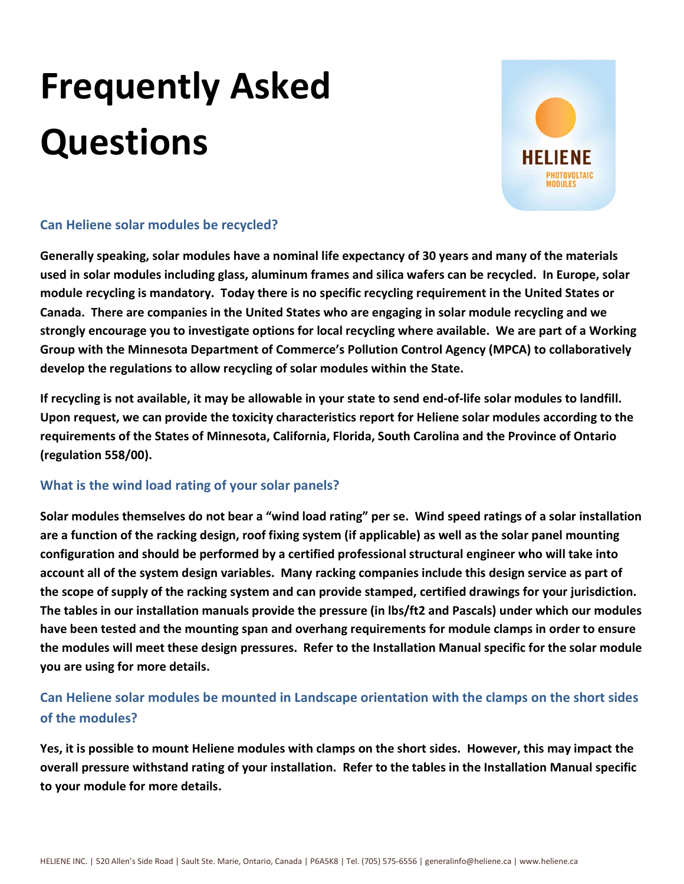# Frequently Asked **Questions**



# Can Heliene solar modules be recycled?

Generally speaking, solar modules have a nominal life expectancy of 30 years and many of the materials used in solar modules including glass, aluminum frames and silica wafers can be recycled. In Europe, solar module recycling is mandatory. Today there is no specific recycling requirement in the United States or Canada. There are companies in the United States who are engaging in solar module recycling and we strongly encourage you to investigate options for local recycling where available. We are part of a Working Group with the Minnesota Department of Commerce's Pollution Control Agency (MPCA) to collaboratively develop the regulations to allow recycling of solar modules within the State.

If recycling is not available, it may be allowable in your state to send end-of-life solar modules to landfill. Upon request, we can provide the toxicity characteristics report for Heliene solar modules according to the requirements of the States of Minnesota, California, Florida, South Carolina and the Province of Ontario (regulation 558/00).

# What is the wind load rating of your solar panels?

Solar modules themselves do not bear a "wind load rating" per se. Wind speed ratings of a solar installation are a function of the racking design, roof fixing system (if applicable) as well as the solar panel mounting configuration and should be performed by a certified professional structural engineer who will take into account all of the system design variables. Many racking companies include this design service as part of the scope of supply of the racking system and can provide stamped, certified drawings for your jurisdiction. The tables in our installation manuals provide the pressure (in lbs/ft2 and Pascals) under which our modules have been tested and the mounting span and overhang requirements for module clamps in order to ensure the modules will meet these design pressures. Refer to the Installation Manual specific for the solar module you are using for more details.

# Can Heliene solar modules be mounted in Landscape orientation with the clamps on the short sides of the modules?

Yes, it is possible to mount Heliene modules with clamps on the short sides. However, this may impact the overall pressure withstand rating of your installation. Refer to the tables in the Installation Manual specific to your module for more details.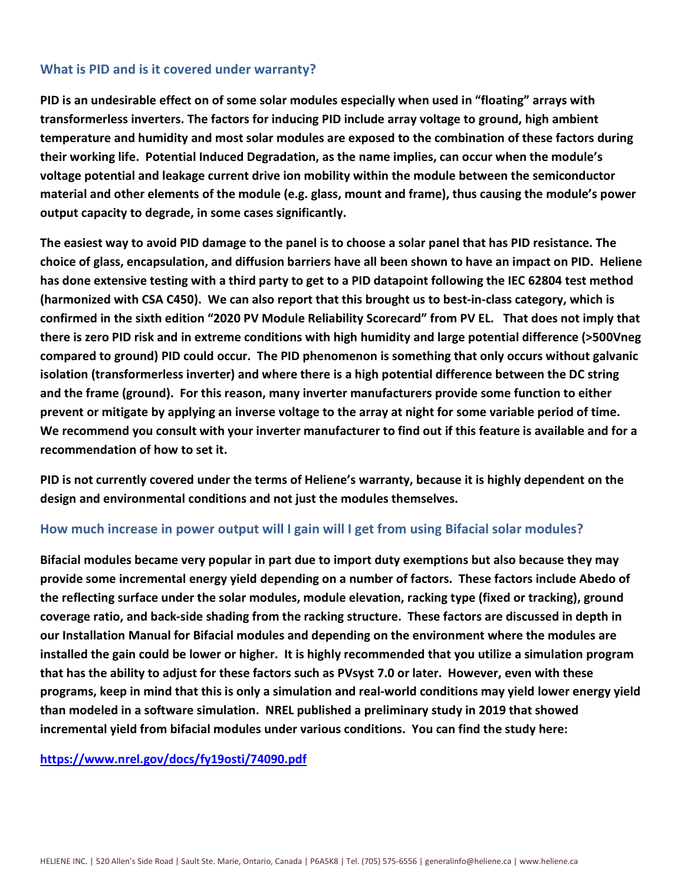# What is PID and is it covered under warranty?

PID is an undesirable effect on of some solar modules especially when used in "floating" arrays with transformerless inverters. The factors for inducing PID include array voltage to ground, high ambient temperature and humidity and most solar modules are exposed to the combination of these factors during their working life. Potential Induced Degradation, as the name implies, can occur when the module's voltage potential and leakage current drive ion mobility within the module between the semiconductor material and other elements of the module (e.g. glass, mount and frame), thus causing the module's power output capacity to degrade, in some cases significantly.

The easiest way to avoid PID damage to the panel is to choose a solar panel that has PID resistance. The choice of glass, encapsulation, and diffusion barriers have all been shown to have an impact on PID. Heliene has done extensive testing with a third party to get to a PID datapoint following the IEC 62804 test method (harmonized with CSA C450). We can also report that this brought us to best-in-class category, which is confirmed in the sixth edition "2020 PV Module Reliability Scorecard" from PV EL. That does not imply that there is zero PID risk and in extreme conditions with high humidity and large potential difference (>500Vneg compared to ground) PID could occur. The PID phenomenon is something that only occurs without galvanic isolation (transformerless inverter) and where there is a high potential difference between the DC string and the frame (ground). For this reason, many inverter manufacturers provide some function to either prevent or mitigate by applying an inverse voltage to the array at night for some variable period of time. We recommend you consult with your inverter manufacturer to find out if this feature is available and for a recommendation of how to set it.

PID is not currently covered under the terms of Heliene's warranty, because it is highly dependent on the design and environmental conditions and not just the modules themselves.

# How much increase in power output will I gain will I get from using Bifacial solar modules?

Bifacial modules became very popular in part due to import duty exemptions but also because they may provide some incremental energy yield depending on a number of factors. These factors include Abedo of the reflecting surface under the solar modules, module elevation, racking type (fixed or tracking), ground coverage ratio, and back-side shading from the racking structure. These factors are discussed in depth in our Installation Manual for Bifacial modules and depending on the environment where the modules are installed the gain could be lower or higher. It is highly recommended that you utilize a simulation program that has the ability to adjust for these factors such as PVsyst 7.0 or later. However, even with these programs, keep in mind that this is only a simulation and real-world conditions may yield lower energy yield than modeled in a software simulation. NREL published a preliminary study in 2019 that showed incremental yield from bifacial modules under various conditions. You can find the study here:

https://www.nrel.gov/docs/fy19osti/74090.pdf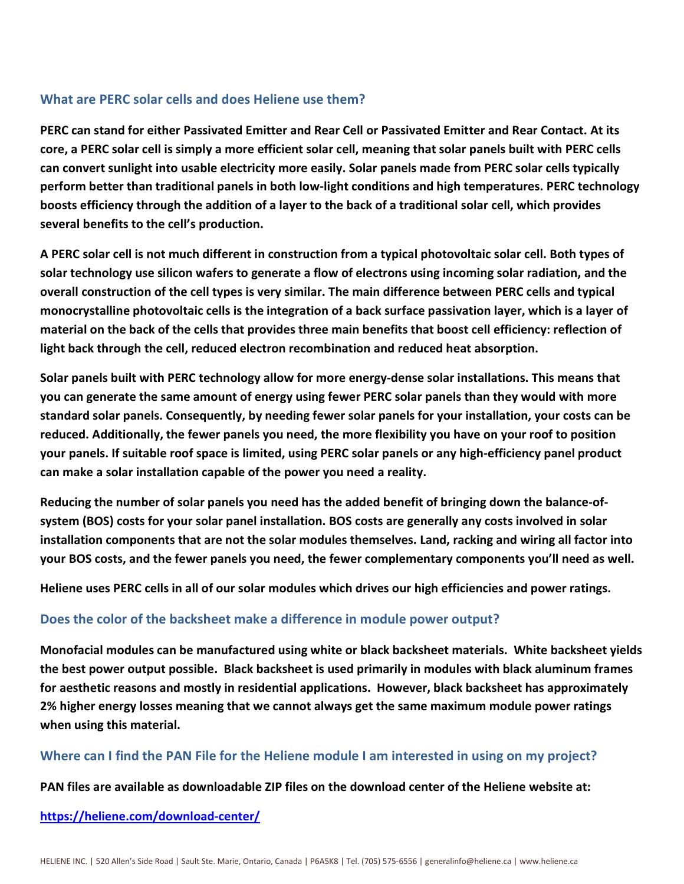# What are PERC solar cells and does Heliene use them?

PERC can stand for either Passivated Emitter and Rear Cell or Passivated Emitter and Rear Contact. At its core, a PERC solar cell is simply a more efficient solar cell, meaning that solar panels built with PERC cells can convert sunlight into usable electricity more easily. Solar panels made from PERC solar cells typically perform better than traditional panels in both low-light conditions and high temperatures. PERC technology boosts efficiency through the addition of a layer to the back of a traditional solar cell, which provides several benefits to the cell's production.

A PERC solar cell is not much different in construction from a typical photovoltaic solar cell. Both types of solar technology use silicon wafers to generate a flow of electrons using incoming solar radiation, and the overall construction of the cell types is very similar. The main difference between PERC cells and typical monocrystalline photovoltaic cells is the integration of a back surface passivation layer, which is a layer of material on the back of the cells that provides three main benefits that boost cell efficiency: reflection of light back through the cell, reduced electron recombination and reduced heat absorption.

Solar panels built with PERC technology allow for more energy-dense solar installations. This means that you can generate the same amount of energy using fewer PERC solar panels than they would with more standard solar panels. Consequently, by needing fewer solar panels for your installation, your costs can be reduced. Additionally, the fewer panels you need, the more flexibility you have on your roof to position your panels. If suitable roof space is limited, using PERC solar panels or any high-efficiency panel product can make a solar installation capable of the power you need a reality.

Reducing the number of solar panels you need has the added benefit of bringing down the balance-ofsystem (BOS) costs for your solar panel installation. BOS costs are generally any costs involved in solar installation components that are not the solar modules themselves. Land, racking and wiring all factor into your BOS costs, and the fewer panels you need, the fewer complementary components you'll need as well.

Heliene uses PERC cells in all of our solar modules which drives our high efficiencies and power ratings.

## Does the color of the backsheet make a difference in module power output?

Monofacial modules can be manufactured using white or black backsheet materials. White backsheet yields the best power output possible. Black backsheet is used primarily in modules with black aluminum frames for aesthetic reasons and mostly in residential applications. However, black backsheet has approximately 2% higher energy losses meaning that we cannot always get the same maximum module power ratings when using this material.

## Where can I find the PAN File for the Heliene module I am interested in using on my project?

PAN files are available as downloadable ZIP files on the download center of the Heliene website at:

#### https://heliene.com/download-center/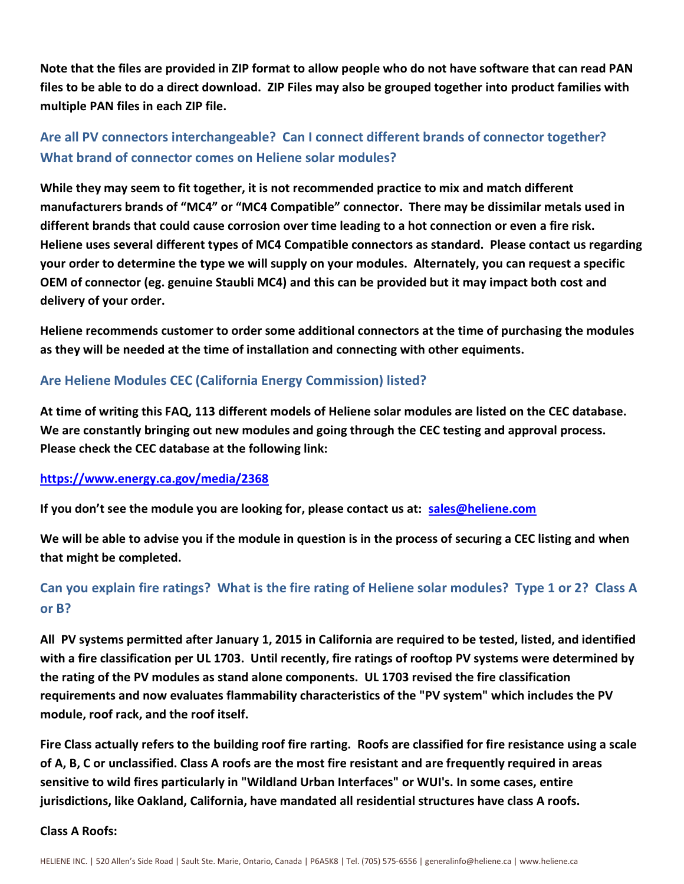Note that the files are provided in ZIP format to allow people who do not have software that can read PAN files to be able to do a direct download. ZIP Files may also be grouped together into product families with multiple PAN files in each ZIP file.

# Are all PV connectors interchangeable? Can I connect different brands of connector together? What brand of connector comes on Heliene solar modules?

While they may seem to fit together, it is not recommended practice to mix and match different manufacturers brands of "MC4" or "MC4 Compatible" connector. There may be dissimilar metals used in different brands that could cause corrosion over time leading to a hot connection or even a fire risk. Heliene uses several different types of MC4 Compatible connectors as standard. Please contact us regarding your order to determine the type we will supply on your modules. Alternately, you can request a specific OEM of connector (eg. genuine Staubli MC4) and this can be provided but it may impact both cost and delivery of your order.

Heliene recommends customer to order some additional connectors at the time of purchasing the modules as they will be needed at the time of installation and connecting with other equiments.

# Are Heliene Modules CEC (California Energy Commission) listed?

At time of writing this FAQ, 113 different models of Heliene solar modules are listed on the CEC database. We are constantly bringing out new modules and going through the CEC testing and approval process. Please check the CEC database at the following link:

## https://www.energy.ca.gov/media/2368

If you don't see the module you are looking for, please contact us at: sales@heliene.com

We will be able to advise you if the module in question is in the process of securing a CEC listing and when that might be completed.

# Can you explain fire ratings? What is the fire rating of Heliene solar modules? Type 1 or 2? Class A or B?

All PV systems permitted after January 1, 2015 in California are required to be tested, listed, and identified with a fire classification per UL 1703. Until recently, fire ratings of rooftop PV systems were determined by the rating of the PV modules as stand alone components. UL 1703 revised the fire classification requirements and now evaluates flammability characteristics of the "PV system" which includes the PV module, roof rack, and the roof itself.

Fire Class actually refers to the building roof fire rarting. Roofs are classified for fire resistance using a scale of A, B, C or unclassified. Class A roofs are the most fire resistant and are frequently required in areas sensitive to wild fires particularly in "Wildland Urban Interfaces" or WUI's. In some cases, entire jurisdictions, like Oakland, California, have mandated all residential structures have class A roofs.

## Class A Roofs: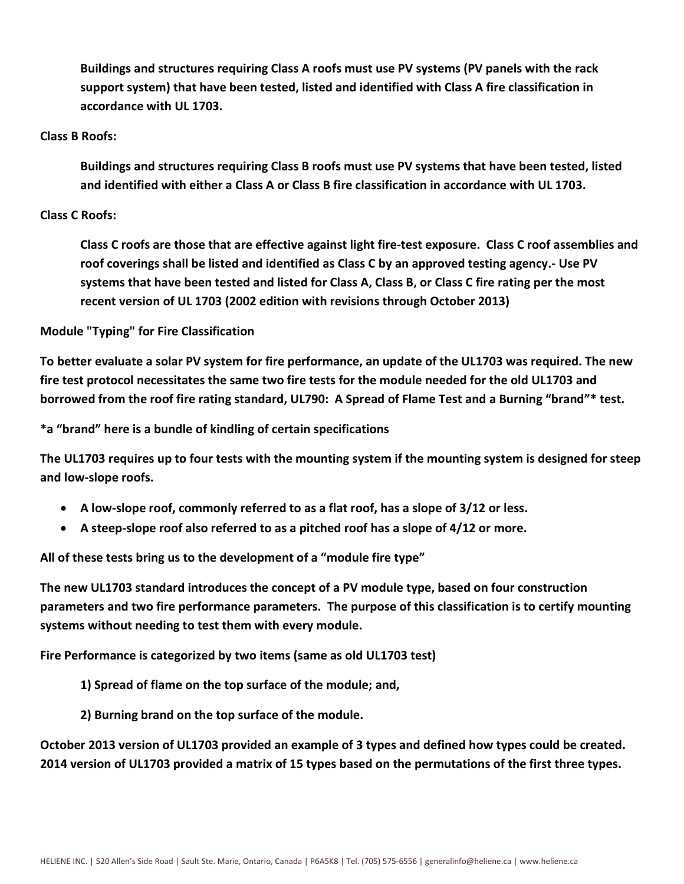Buildings and structures requiring Class A roofs must use PV systems (PV panels with the rack support system) that have been tested, listed and identified with Class A fire classification in accordance with UL 1703.

#### Class B Roofs:

Buildings and structures requiring Class B roofs must use PV systems that have been tested, listed and identified with either a Class A or Class B fire classification in accordance with UL 1703.

## Class C Roofs:

Class C roofs are those that are effective against light fire-test exposure. Class C roof assemblies and roof coverings shall be listed and identified as Class C by an approved testing agency.- Use PV systems that have been tested and listed for Class A, Class B, or Class C fire rating per the most recent version of UL 1703 (2002 edition with revisions through October 2013)

## Module "Typing" for Fire Classification

To better evaluate a solar PV system for fire performance, an update of the UL1703 was required. The new fire test protocol necessitates the same two fire tests for the module needed for the old UL1703 and borrowed from the roof fire rating standard, UL790: A Spread of Flame Test and a Burning "brand"\* test.

\*a "brand" here is a bundle of kindling of certain specifications

The UL1703 requires up to four tests with the mounting system if the mounting system is designed for steep and low-slope roofs.

- A low-slope roof, commonly referred to as a flat roof, has a slope of 3/12 or less.
- A steep-slope roof also referred to as a pitched roof has a slope of 4/12 or more.

All of these tests bring us to the development of a "module fire type"

The new UL1703 standard introduces the concept of a PV module type, based on four construction parameters and two fire performance parameters. The purpose of this classification is to certify mounting systems without needing to test them with every module.

Fire Performance is categorized by two items (same as old UL1703 test)

- 1) Spread of flame on the top surface of the module; and,
- 2) Burning brand on the top surface of the module.

October 2013 version of UL1703 provided an example of 3 types and defined how types could be created. 2014 version of UL1703 provided a matrix of 15 types based on the permutations of the first three types.